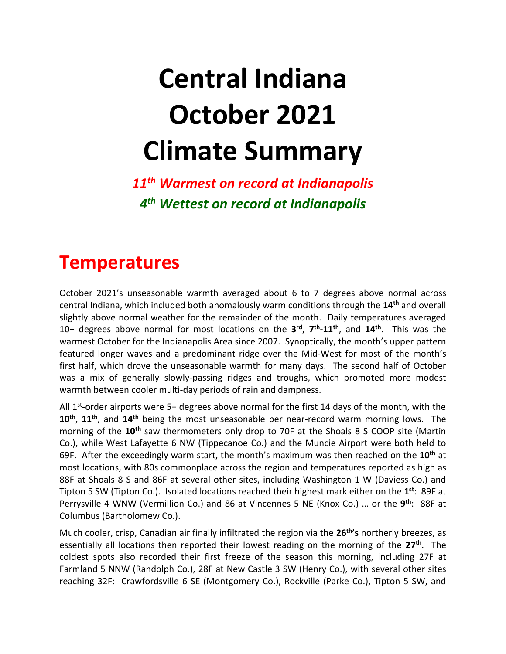# **Central Indiana October 2021 Climate Summary**

*11th Warmest on record at Indianapolis 4 th Wettest on record at Indianapolis*

### **Temperatures**

October 2021's unseasonable warmth averaged about 6 to 7 degrees above normal across central Indiana, which included both anomalously warm conditions through the **14th** and overall slightly above normal weather for the remainder of the month. Daily temperatures averaged 10+ degrees above normal for most locations on the **3 rd** , **7 th -11th**, and **14th** . This was the warmest October for the Indianapolis Area since 2007. Synoptically, the month's upper pattern featured longer waves and a predominant ridge over the Mid-West for most of the month's first half, which drove the unseasonable warmth for many days. The second half of October was a mix of generally slowly-passing ridges and troughs, which promoted more modest warmth between cooler multi-day periods of rain and dampness.

All  $1<sup>st</sup>$ -order airports were 5+ degrees above normal for the first 14 days of the month, with the **10th** , **11th** , and **14th** being the most unseasonable per near-record warm morning lows. The morning of the **10th** saw thermometers only drop to 70F at the Shoals 8 S COOP site (Martin Co.), while West Lafayette 6 NW (Tippecanoe Co.) and the Muncie Airport were both held to 69F. After the exceedingly warm start, the month's maximum was then reached on the **10th** at most locations, with 80s commonplace across the region and temperatures reported as high as 88F at Shoals 8 S and 86F at several other sites, including Washington 1 W (Daviess Co.) and Tipton 5 SW (Tipton Co.). Isolated locations reached their highest mark either on the **1 st**: 89F at Perrysville 4 WNW (Vermillion Co.) and 86 at Vincennes 5 NE (Knox Co.) ... or the 9<sup>th</sup>: 88F at Columbus (Bartholomew Co.).

Much cooler, crisp, Canadian air finally infiltrated the region via the **26th 's** northerly breezes, as essentially all locations then reported their lowest reading on the morning of the **27th**. The coldest spots also recorded their first freeze of the season this morning, including 27F at Farmland 5 NNW (Randolph Co.), 28F at New Castle 3 SW (Henry Co.), with several other sites reaching 32F: Crawfordsville 6 SE (Montgomery Co.), Rockville (Parke Co.), Tipton 5 SW, and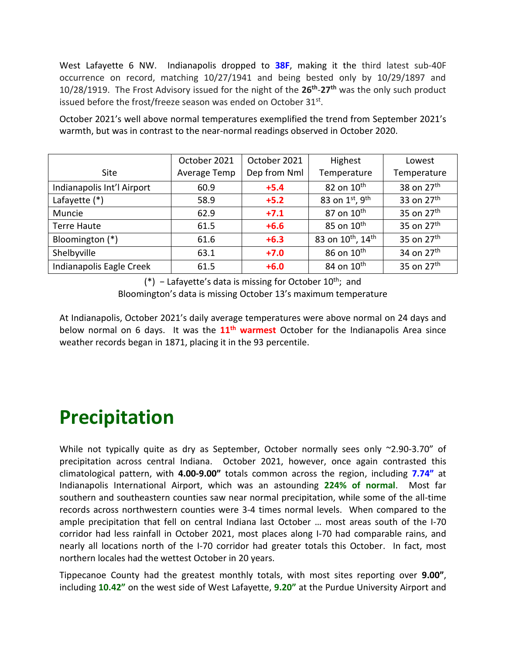West Lafayette 6 NW. Indianapolis dropped to **38F**, making it the third latest sub-40F occurrence on record, matching 10/27/1941 and being bested only by 10/29/1897 and 10/28/1919. The Frost Advisory issued for the night of the **26th** -**27th** was the only such product issued before the frost/freeze season was ended on October  $31^{st}$ .

October 2021's well above normal temperatures exemplified the trend from September 2021's warmth, but was in contrast to the near-normal readings observed in October 2020.

|                            | October 2021 | October 2021 | Highest                                   | Lowest                 |
|----------------------------|--------------|--------------|-------------------------------------------|------------------------|
| <b>Site</b>                | Average Temp | Dep from Nml | Temperature                               | Temperature            |
| Indianapolis Int'l Airport | 60.9         | $+5.4$       | 82 on $10^{\text{th}}$                    | 38 on 27 <sup>th</sup> |
| Lafayette $(*)$            | 58.9         | $+5.2$       | 83 on 1st, 9th                            | 33 on 27 <sup>th</sup> |
| Muncie                     | 62.9         | $+7.1$       | 87 on $10^{\text{th}}$                    | 35 on 27 <sup>th</sup> |
| <b>Terre Haute</b>         | 61.5         | $+6.6$       | 85 on 10 <sup>th</sup>                    | 35 on 27 <sup>th</sup> |
| Bloomington (*)            | 61.6         | $+6.3$       | 83 on 10 <sup>th</sup> , 14 <sup>th</sup> | 35 on 27 <sup>th</sup> |
| Shelbyville                | 63.1         | $+7.0$       | 86 on 10 <sup>th</sup>                    | 34 on 27 <sup>th</sup> |
| Indianapolis Eagle Creek   | 61.5         | $+6.0$       | 84 on 10 <sup>th</sup>                    | 35 on 27 <sup>th</sup> |

(\*) - Lafayette's data is missing for October 10<sup>th</sup>; and Bloomington's data is missing October 13's maximum temperature

At Indianapolis, October 2021's daily average temperatures were above normal on 24 days and below normal on 6 days. It was the **11th warmest** October for the Indianapolis Area since weather records began in 1871, placing it in the 93 percentile.

### **Precipitation**

While not typically quite as dry as September, October normally sees only ~2.90-3.70" of precipitation across central Indiana. October 2021, however, once again contrasted this climatological pattern, with **4.00-9.00"** totals common across the region, including **7.74"** at Indianapolis International Airport, which was an astounding **224% of normal**. Most far southern and southeastern counties saw near normal precipitation, while some of the all-time records across northwestern counties were 3-4 times normal levels. When compared to the ample precipitation that fell on central Indiana last October … most areas south of the I-70 corridor had less rainfall in October 2021, most places along I-70 had comparable rains, and nearly all locations north of the I-70 corridor had greater totals this October. In fact, most northern locales had the wettest October in 20 years.

Tippecanoe County had the greatest monthly totals, with most sites reporting over **9.00"**, including **10.42"** on the west side of West Lafayette, **9.20"** at the Purdue University Airport and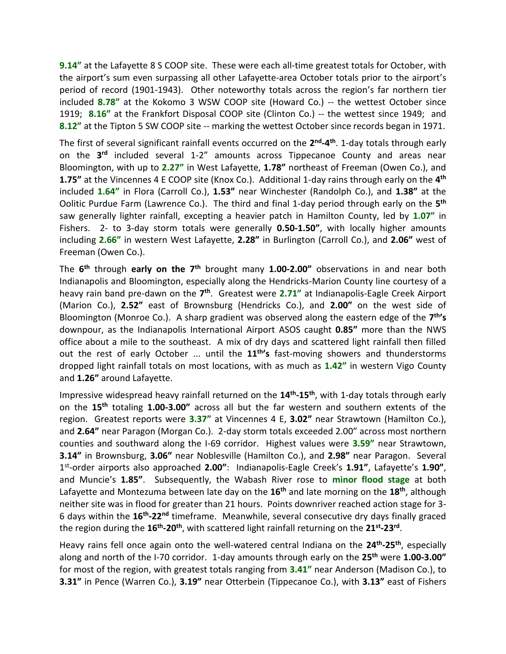**9.14"** at the Lafayette 8 S COOP site. These were each all-time greatest totals for October, with the airport's sum even surpassing all other Lafayette-area October totals prior to the airport's period of record (1901-1943). Other noteworthy totals across the region's far northern tier included **8.78"** at the Kokomo 3 WSW COOP site (Howard Co.) -- the wettest October since 1919; **8.16"** at the Frankfort Disposal COOP site (Clinton Co.) -- the wettest since 1949; and **8.12"** at the Tipton 5 SW COOP site -- marking the wettest October since records began in 1971.

The first of several significant rainfall events occurred on the 2<sup>nd</sup>-4<sup>th</sup>. 1-day totals through early on the **3 rd** included several 1-2" amounts across Tippecanoe County and areas near Bloomington, with up to **2.27"** in West Lafayette, **1.78"** northeast of Freeman (Owen Co.), and **1.75"** at the Vincennes 4 E COOP site (Knox Co.). Additional 1-day rains through early on the **4 th** included **1.64"** in Flora (Carroll Co.), **1.53"** near Winchester (Randolph Co.), and **1.38"** at the Oolitic Purdue Farm (Lawrence Co.). The third and final 1-day period through early on the **5 th** saw generally lighter rainfall, excepting a heavier patch in Hamilton County, led by **1.07"** in Fishers. 2- to 3-day storm totals were generally **0.50-1.50"**, with locally higher amounts including **2.66"** in western West Lafayette, **2.28"** in Burlington (Carroll Co.), and **2.06"** west of Freeman (Owen Co.).

The **6 th** through **early on the 7th** brought many **1.00-2.00"** observations in and near both Indianapolis and Bloomington, especially along the Hendricks-Marion County line courtesy of a heavy rain band pre-dawn on the 7<sup>th</sup>. Greatest were 2.71" at Indianapolis-Eagle Creek Airport (Marion Co.), **2.52"** east of Brownsburg (Hendricks Co.), and **2.00"** on the west side of Bloomington (Monroe Co.). A sharp gradient was observed along the eastern edge of the **7 th's** downpour, as the Indianapolis International Airport ASOS caught **0.85"** more than the NWS office about a mile to the southeast. A mix of dry days and scattered light rainfall then filled out the rest of early October ... until the **11th's** fast-moving showers and thunderstorms dropped light rainfall totals on most locations, with as much as **1.42"** in western Vigo County and **1.26"** around Lafayette.

Impressive widespread heavy rainfall returned on the **14th -15th**, with 1-day totals through early on the **15th** totaling **1.00-3.00"** across all but the far western and southern extents of the region. Greatest reports were **3.37"** at Vincennes 4 E, **3.02"** near Strawtown (Hamilton Co.), and **2.64"** near Paragon (Morgan Co.). 2-day storm totals exceeded 2.00" across most northern counties and southward along the I-69 corridor. Highest values were **3.59"** near Strawtown, **3.14"** in Brownsburg, **3.06"** near Noblesville (Hamilton Co.), and **2.98"** near Paragon. Several 1 st -order airports also approached **2.00"**: Indianapolis-Eagle Creek's **1.91"**, Lafayette's **1.90"**, and Muncie's **1.85"**. Subsequently, the Wabash River rose to **minor flood stage** at both Lafayette and Montezuma between late day on the **16th** and late morning on the **18th**, although neither site was in flood for greater than 21 hours. Points downriver reached action stage for 3- 6 days within the **16th -22nd** timeframe. Meanwhile, several consecutive dry days finally graced the region during the **16th -20th**, with scattered light rainfall returning on the **21st -23rd** .

Heavy rains fell once again onto the well-watered central Indiana on the **24th -25th**, especially along and north of the I-70 corridor. 1-day amounts through early on the **25th** were **1.00-3.00"** for most of the region, with greatest totals ranging from **3.41"** near Anderson (Madison Co.), to **3.31"** in Pence (Warren Co.), **3.19"** near Otterbein (Tippecanoe Co.), with **3.13"** east of Fishers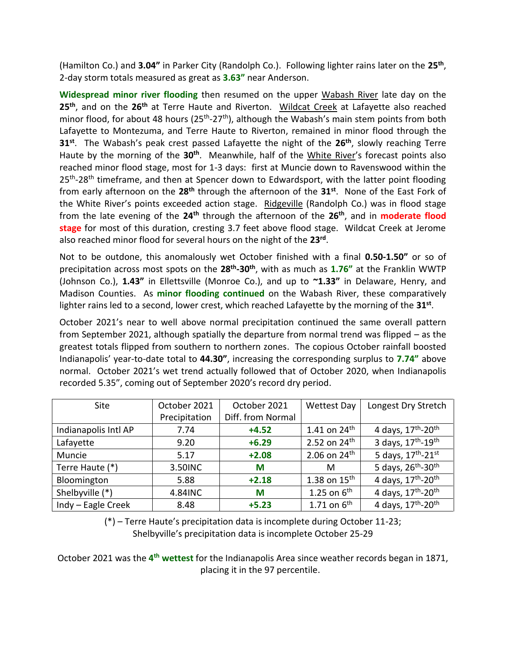(Hamilton Co.) and **3.04"** in Parker City (Randolph Co.). Following lighter rains later on the **25th** , 2-day storm totals measured as great as **3.63"** near Anderson.

**Widespread minor river flooding** then resumed on the upper Wabash River late day on the **25th** , and on the **26th** at Terre Haute and Riverton. Wildcat Creek at Lafayette also reached minor flood, for about 48 hours (25<sup>th</sup>-27<sup>th</sup>), although the Wabash's main stem points from both Lafayette to Montezuma, and Terre Haute to Riverton, remained in minor flood through the **31st**. The Wabash's peak crest passed Lafayette the night of the **26th**, slowly reaching Terre Haute by the morning of the 30<sup>th</sup>. Meanwhile, half of the White River's forecast points also reached minor flood stage, most for 1-3 days: first at Muncie down to Ravenswood within the 25<sup>th</sup>-28<sup>th</sup> timeframe, and then at Spencer down to Edwardsport, with the latter point flooding from early afternoon on the **28th** through the afternoon of the **31st** . None of the East Fork of the White River's points exceeded action stage. Ridgeville (Randolph Co.) was in flood stage from the late evening of the **24th** through the afternoon of the **26th**, and in **moderate flood stage** for most of this duration, cresting 3.7 feet above flood stage. Wildcat Creek at Jerome also reached minor flood for several hours on the night of the **23rd** .

Not to be outdone, this anomalously wet October finished with a final **0.50-1.50"** or so of precipitation across most spots on the **28th -30th**, with as much as **1.76"** at the Franklin WWTP (Johnson Co.), **1.43"** in Ellettsville (Monroe Co.), and up to **~1.33"** in Delaware, Henry, and Madison Counties. As **minor flooding continued** on the Wabash River, these comparatively lighter rains led to a second, lower crest, which reached Lafayette by the morning of the **31st** .

October 2021's near to well above normal precipitation continued the same overall pattern from September 2021, although spatially the departure from normal trend was flipped – as the greatest totals flipped from southern to northern zones. The copious October rainfall boosted Indianapolis' year-to-date total to **44.30"**, increasing the corresponding surplus to **7.74"** above normal. October 2021's wet trend actually followed that of October 2020, when Indianapolis recorded 5.35", coming out of September 2020's record dry period.

| <b>Site</b>          | October 2021  | October 2021      | <b>Wettest Day</b> | Longest Dry Stretch                        |
|----------------------|---------------|-------------------|--------------------|--------------------------------------------|
|                      | Precipitation | Diff. from Normal |                    |                                            |
| Indianapolis Intl AP | 7.74          | $+4.52$           | 1.41 on $24^{th}$  | 4 days, 17 <sup>th</sup> -20 <sup>th</sup> |
| Lafayette            | 9.20          | $+6.29$           | 2.52 on $24^{th}$  | 3 days, 17 <sup>th</sup> -19 <sup>th</sup> |
| Muncie               | 5.17          | $+2.08$           | 2.06 on $24^{th}$  | 5 days, $17^{th} - 21^{st}$                |
| Terre Haute (*)      | 3.50 INC      | M                 | M                  | 5 days, $26^{th} - 30^{th}$                |
| Bloomington          | 5.88          | $+2.18$           | 1.38 on $15^{th}$  | 4 days, 17 <sup>th</sup> -20 <sup>th</sup> |
| Shelbyville (*)      | 4.84INC       | M                 | 1.25 on $6th$      | 4 days, 17 <sup>th</sup> -20 <sup>th</sup> |
| Indy - Eagle Creek   | 8.48          | $+5.23$           | 1.71 on $6^{th}$   | 4 days, $17^{th} - 20^{th}$                |

(\*) – Terre Haute's precipitation data is incomplete during October 11-23; Shelbyville's precipitation data is incomplete October 25-29

October 2021 was the 4<sup>th</sup> wettest for the Indianapolis Area since weather records began in 1871, placing it in the 97 percentile.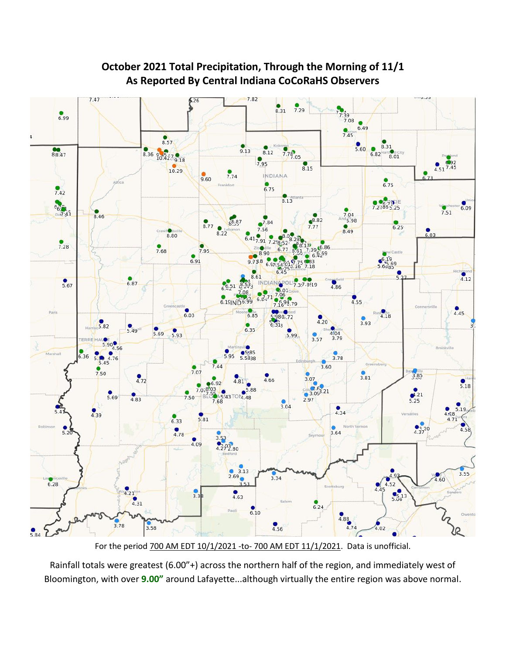

#### **October 2021 Total Precipitation, Through the Morning of 11/1 As Reported By Central Indiana CoCoRaHS Observers**

For the period 700 AM EDT 10/1/2021 -to- 700 AM EDT 11/1/2021. Data is unofficial.

Rainfall totals were greatest (6.00"+) across the northern half of the region, and immediately west of Bloomington, with over **9.00"** around Lafayette...although virtually the entire region was above normal.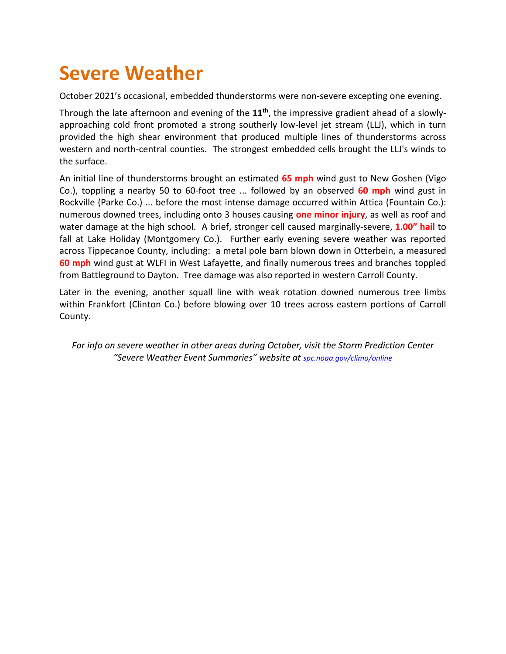### **Severe Weather**

October 2021's occasional, embedded thunderstorms were non-severe excepting one evening.

Through the late afternoon and evening of the **11th** , the impressive gradient ahead of a slowlyapproaching cold front promoted a strong southerly low-level jet stream (LLJ), which in turn provided the high shear environment that produced multiple lines of thunderstorms across western and north-central counties. The strongest embedded cells brought the LLJ's winds to the surface.

An initial line of thunderstorms brought an estimated **65 mph** wind gust to New Goshen (Vigo Co.), toppling a nearby 50 to 60-foot tree ... followed by an observed **60 mph** wind gust in Rockville (Parke Co.) ... before the most intense damage occurred within Attica (Fountain Co.): numerous downed trees, including onto 3 houses causing **one minor injury**, as well as roof and water damage at the high school. A brief, stronger cell caused marginally-severe, **1.00" hail** to fall at Lake Holiday (Montgomery Co.). Further early evening severe weather was reported across Tippecanoe County, including: a metal pole barn blown down in Otterbein, a measured **60 mph** wind gust at WLFI in West Lafayette, and finally numerous trees and branches toppled from Battleground to Dayton. Tree damage was also reported in western Carroll County.

Later in the evening, another squall line with weak rotation downed numerous tree limbs within Frankfort (Clinton Co.) before blowing over 10 trees across eastern portions of Carroll County.

*For info on severe weather in other areas during October, visit the Storm Prediction Center "Severe Weather Event Summaries" website at [spc.noaa.gov/climo/online](file://///IND-S-FILESVR/SavedFiles/Climate/Press%20Releases%20and%20News%20Stories/spc.noaa.gov/climo/online)*